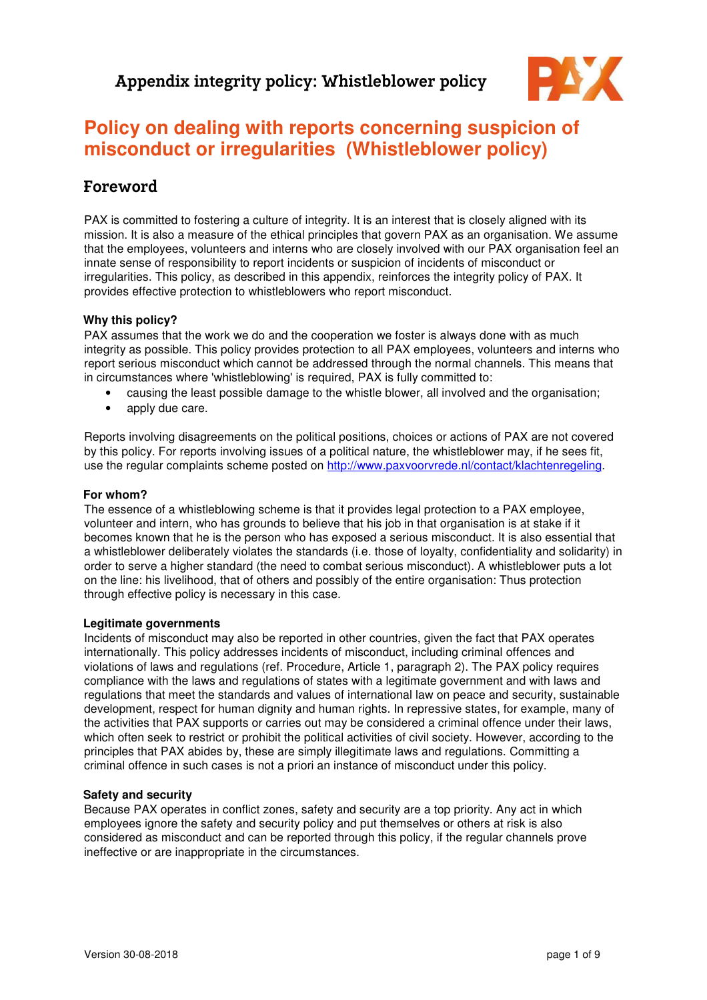

# **Policy on dealing with reports concerning suspicion of misconduct or irregularities (Whistleblower policy)**

## Foreword

PAX is committed to fostering a culture of integrity. It is an interest that is closely aligned with its mission. It is also a measure of the ethical principles that govern PAX as an organisation. We assume that the employees, volunteers and interns who are closely involved with our PAX organisation feel an innate sense of responsibility to report incidents or suspicion of incidents of misconduct or irregularities. This policy, as described in this appendix, reinforces the integrity policy of PAX. It provides effective protection to whistleblowers who report misconduct.

#### **Why this policy?**

PAX assumes that the work we do and the cooperation we foster is always done with as much integrity as possible. This policy provides protection to all PAX employees, volunteers and interns who report serious misconduct which cannot be addressed through the normal channels. This means that in circumstances where 'whistleblowing' is required, PAX is fully committed to:

- causing the least possible damage to the whistle blower, all involved and the organisation;
- apply due care.

Reports involving disagreements on the political positions, choices or actions of PAX are not covered by this policy. For reports involving issues of a political nature, the whistleblower may, if he sees fit, use the regular complaints scheme posted on http://www.paxvoorvrede.nl/contact/klachtenregeling.

#### **For whom?**

The essence of a whistleblowing scheme is that it provides legal protection to a PAX employee, volunteer and intern, who has grounds to believe that his job in that organisation is at stake if it becomes known that he is the person who has exposed a serious misconduct. It is also essential that a whistleblower deliberately violates the standards (i.e. those of loyalty, confidentiality and solidarity) in order to serve a higher standard (the need to combat serious misconduct). A whistleblower puts a lot on the line: his livelihood, that of others and possibly of the entire organisation: Thus protection through effective policy is necessary in this case.

#### **Legitimate governments**

Incidents of misconduct may also be reported in other countries, given the fact that PAX operates internationally. This policy addresses incidents of misconduct, including criminal offences and violations of laws and regulations (ref. Procedure, Article 1, paragraph 2). The PAX policy requires compliance with the laws and regulations of states with a legitimate government and with laws and regulations that meet the standards and values of international law on peace and security, sustainable development, respect for human dignity and human rights. In repressive states, for example, many of the activities that PAX supports or carries out may be considered a criminal offence under their laws, which often seek to restrict or prohibit the political activities of civil society. However, according to the principles that PAX abides by, these are simply illegitimate laws and regulations. Committing a criminal offence in such cases is not a priori an instance of misconduct under this policy.

#### **Safety and security**

Because PAX operates in conflict zones, safety and security are a top priority. Any act in which employees ignore the safety and security policy and put themselves or others at risk is also considered as misconduct and can be reported through this policy, if the regular channels prove ineffective or are inappropriate in the circumstances.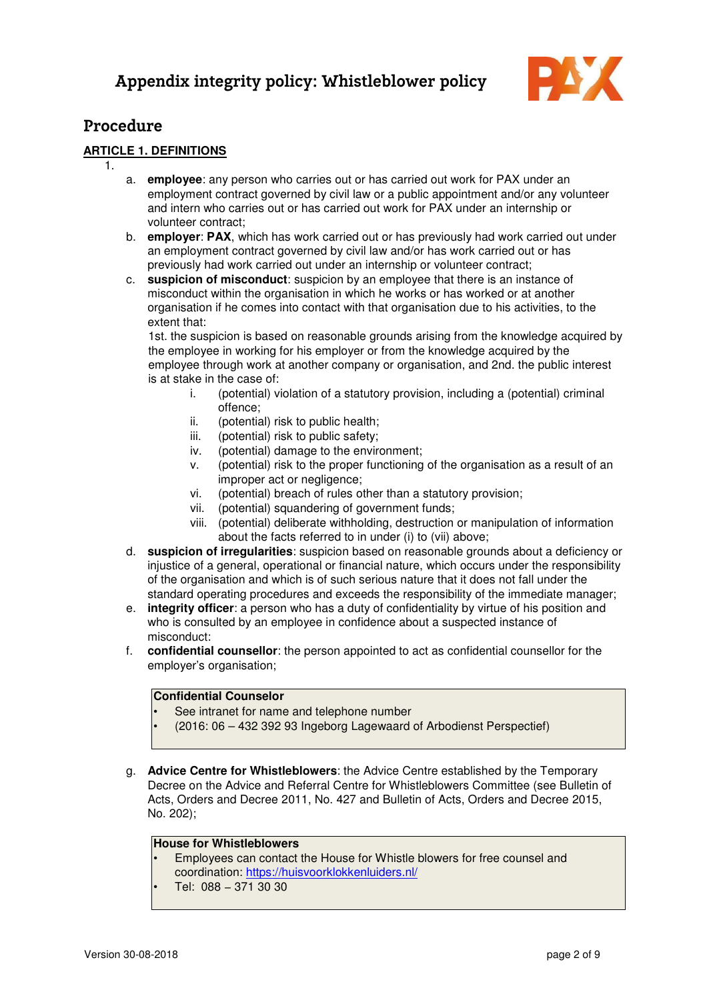

### Procedure

### **ARTICLE 1. DEFINITIONS**

- 1.
	- a. **employee**: any person who carries out or has carried out work for PAX under an employment contract governed by civil law or a public appointment and/or any volunteer and intern who carries out or has carried out work for PAX under an internship or volunteer contract;
	- b. **employer**: **PAX**, which has work carried out or has previously had work carried out under an employment contract governed by civil law and/or has work carried out or has previously had work carried out under an internship or volunteer contract;
	- c. **suspicion of misconduct**: suspicion by an employee that there is an instance of misconduct within the organisation in which he works or has worked or at another organisation if he comes into contact with that organisation due to his activities, to the extent that:

1st. the suspicion is based on reasonable grounds arising from the knowledge acquired by the employee in working for his employer or from the knowledge acquired by the employee through work at another company or organisation, and 2nd. the public interest is at stake in the case of:

- i. (potential) violation of a statutory provision, including a (potential) criminal offence;
- ii. (potential) risk to public health;
- iii. (potential) risk to public safety;
- iv. (potential) damage to the environment;
- v. (potential) risk to the proper functioning of the organisation as a result of an improper act or negligence;
- vi. (potential) breach of rules other than a statutory provision;
- vii. (potential) squandering of government funds;
- viii. (potential) deliberate withholding, destruction or manipulation of information about the facts referred to in under (i) to (vii) above;
- d. **suspicion of irregularities**: suspicion based on reasonable grounds about a deficiency or injustice of a general, operational or financial nature, which occurs under the responsibility of the organisation and which is of such serious nature that it does not fall under the standard operating procedures and exceeds the responsibility of the immediate manager;
- e. **integrity officer**: a person who has a duty of confidentiality by virtue of his position and who is consulted by an employee in confidence about a suspected instance of misconduct:
- f. **confidential counsellor**: the person appointed to act as confidential counsellor for the employer's organisation;

#### **Confidential Counselor**

- See intranet for name and telephone number
- (2016: 06 432 392 93 Ingeborg Lagewaard of Arbodienst Perspectief)
- g. **Advice Centre for Whistleblowers**: the Advice Centre established by the Temporary Decree on the Advice and Referral Centre for Whistleblowers Committee (see Bulletin of Acts, Orders and Decree 2011, No. 427 and Bulletin of Acts, Orders and Decree 2015, No. 202);

#### **House for Whistleblowers**

- Employees can contact the House for Whistle blowers for free counsel and coordination: https://huisvoorklokkenluiders.nl/
- Tel: 088 − 371 30 30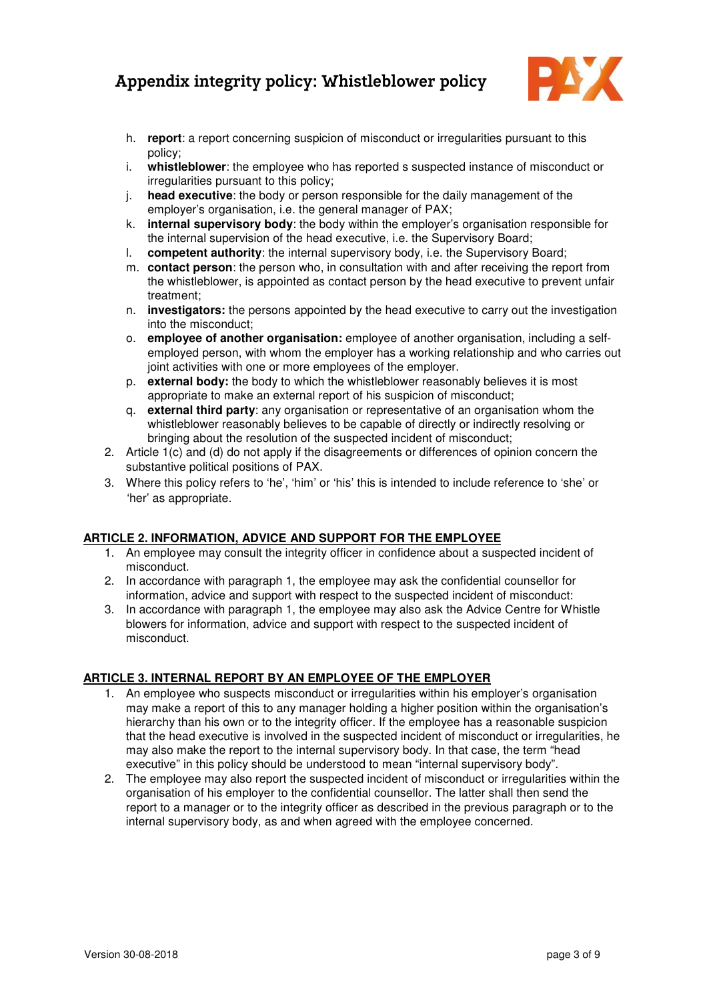

- h. **report**: a report concerning suspicion of misconduct or irregularities pursuant to this policy;
- i. **whistleblower**: the employee who has reported s suspected instance of misconduct or irregularities pursuant to this policy;
- j. **head executive**: the body or person responsible for the daily management of the employer's organisation, i.e. the general manager of PAX;
- k. **internal supervisory body**: the body within the employer's organisation responsible for the internal supervision of the head executive, i.e. the Supervisory Board;
- l. **competent authority**: the internal supervisory body, i.e. the Supervisory Board;
- m. **contact person**: the person who, in consultation with and after receiving the report from the whistleblower, is appointed as contact person by the head executive to prevent unfair treatment;
- n. **investigators:** the persons appointed by the head executive to carry out the investigation into the misconduct;
- o. **employee of another organisation:** employee of another organisation, including a selfemployed person, with whom the employer has a working relationship and who carries out joint activities with one or more employees of the employer.
- p. **external body:** the body to which the whistleblower reasonably believes it is most appropriate to make an external report of his suspicion of misconduct;
- q. **external third party**: any organisation or representative of an organisation whom the whistleblower reasonably believes to be capable of directly or indirectly resolving or bringing about the resolution of the suspected incident of misconduct;
- 2. Article 1(c) and (d) do not apply if the disagreements or differences of opinion concern the substantive political positions of PAX.
- 3. Where this policy refers to 'he', 'him' or 'his' this is intended to include reference to 'she' or 'her' as appropriate.

#### **ARTICLE 2. INFORMATION, ADVICE AND SUPPORT FOR THE EMPLOYEE**

- 1. An employee may consult the integrity officer in confidence about a suspected incident of misconduct.
- 2. In accordance with paragraph 1, the employee may ask the confidential counsellor for information, advice and support with respect to the suspected incident of misconduct:
- 3. In accordance with paragraph 1, the employee may also ask the Advice Centre for Whistle blowers for information, advice and support with respect to the suspected incident of misconduct.

### **ARTICLE 3. INTERNAL REPORT BY AN EMPLOYEE OF THE EMPLOYER**

- 1. An employee who suspects misconduct or irregularities within his employer's organisation may make a report of this to any manager holding a higher position within the organisation's hierarchy than his own or to the integrity officer. If the employee has a reasonable suspicion that the head executive is involved in the suspected incident of misconduct or irregularities, he may also make the report to the internal supervisory body. In that case, the term "head executive" in this policy should be understood to mean "internal supervisory body".
- 2. The employee may also report the suspected incident of misconduct or irregularities within the organisation of his employer to the confidential counsellor. The latter shall then send the report to a manager or to the integrity officer as described in the previous paragraph or to the internal supervisory body, as and when agreed with the employee concerned.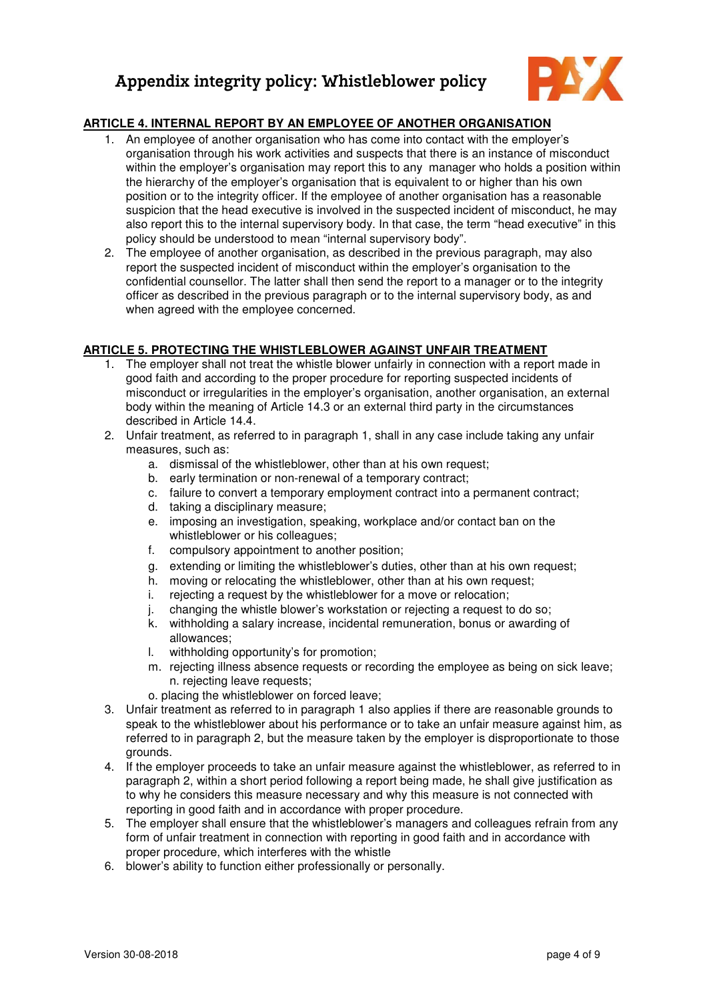

### **ARTICLE 4. INTERNAL REPORT BY AN EMPLOYEE OF ANOTHER ORGANISATION**

- 1. An employee of another organisation who has come into contact with the employer's organisation through his work activities and suspects that there is an instance of misconduct within the employer's organisation may report this to any manager who holds a position within the hierarchy of the employer's organisation that is equivalent to or higher than his own position or to the integrity officer. If the employee of another organisation has a reasonable suspicion that the head executive is involved in the suspected incident of misconduct, he may also report this to the internal supervisory body. In that case, the term "head executive" in this policy should be understood to mean "internal supervisory body".
- 2. The employee of another organisation, as described in the previous paragraph, may also report the suspected incident of misconduct within the employer's organisation to the confidential counsellor. The latter shall then send the report to a manager or to the integrity officer as described in the previous paragraph or to the internal supervisory body, as and when agreed with the employee concerned.

#### **ARTICLE 5. PROTECTING THE WHISTLEBLOWER AGAINST UNFAIR TREATMENT**

- 1. The employer shall not treat the whistle blower unfairly in connection with a report made in good faith and according to the proper procedure for reporting suspected incidents of misconduct or irregularities in the employer's organisation, another organisation, an external body within the meaning of Article 14.3 or an external third party in the circumstances described in Article 14.4.
- 2. Unfair treatment, as referred to in paragraph 1, shall in any case include taking any unfair measures, such as:
	- a. dismissal of the whistleblower, other than at his own request;
	- b. early termination or non-renewal of a temporary contract;
	- c. failure to convert a temporary employment contract into a permanent contract;
	- d. taking a disciplinary measure;
	- e. imposing an investigation, speaking, workplace and/or contact ban on the whistleblower or his colleagues:
	- f. compulsory appointment to another position;
	- g. extending or limiting the whistleblower's duties, other than at his own request;
	- h. moving or relocating the whistleblower, other than at his own request;
	- i. rejecting a request by the whistleblower for a move or relocation;
	- j. changing the whistle blower's workstation or rejecting a request to do so;
	- k. withholding a salary increase, incidental remuneration, bonus or awarding of allowances;
	- l. withholding opportunity's for promotion;
	- m. rejecting illness absence requests or recording the employee as being on sick leave; n. rejecting leave requests;
	- o. placing the whistleblower on forced leave;
- 3. Unfair treatment as referred to in paragraph 1 also applies if there are reasonable grounds to speak to the whistleblower about his performance or to take an unfair measure against him, as referred to in paragraph 2, but the measure taken by the employer is disproportionate to those grounds.
- 4. If the employer proceeds to take an unfair measure against the whistleblower, as referred to in paragraph 2, within a short period following a report being made, he shall give justification as to why he considers this measure necessary and why this measure is not connected with reporting in good faith and in accordance with proper procedure.
- 5. The employer shall ensure that the whistleblower's managers and colleagues refrain from any form of unfair treatment in connection with reporting in good faith and in accordance with proper procedure, which interferes with the whistle
- 6. blower's ability to function either professionally or personally.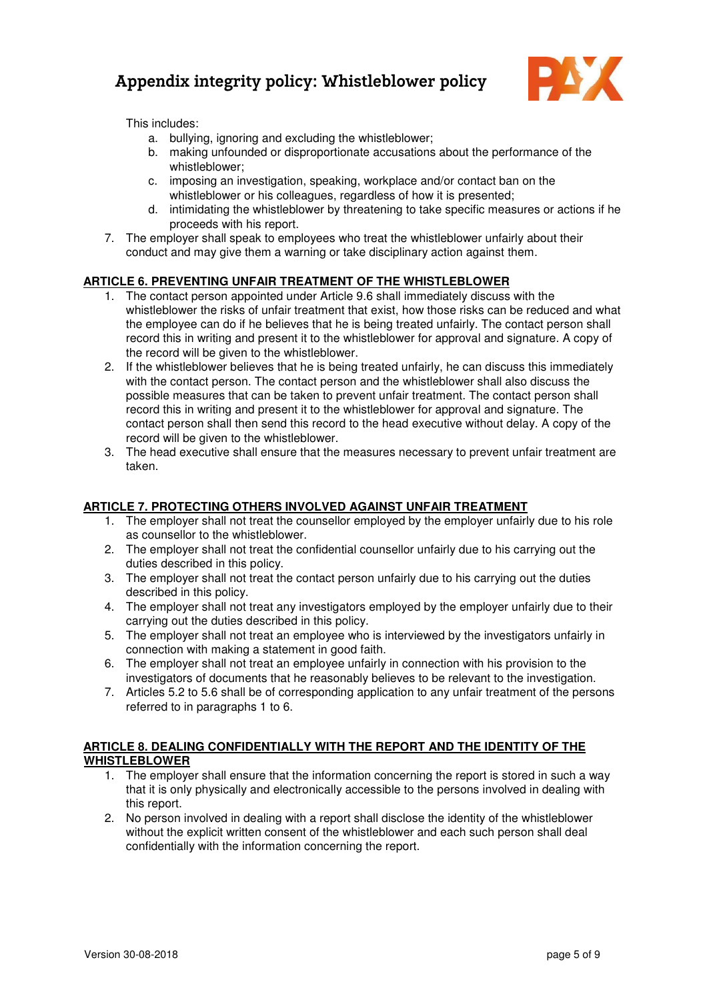

This includes:

- a. bullying, ignoring and excluding the whistleblower;
- b. making unfounded or disproportionate accusations about the performance of the whistleblower;
- c. imposing an investigation, speaking, workplace and/or contact ban on the whistleblower or his colleagues, regardless of how it is presented;
- d. intimidating the whistleblower by threatening to take specific measures or actions if he proceeds with his report.
- 7. The employer shall speak to employees who treat the whistleblower unfairly about their conduct and may give them a warning or take disciplinary action against them.

#### **ARTICLE 6. PREVENTING UNFAIR TREATMENT OF THE WHISTLEBLOWER**

- 1. The contact person appointed under Article 9.6 shall immediately discuss with the whistleblower the risks of unfair treatment that exist, how those risks can be reduced and what the employee can do if he believes that he is being treated unfairly. The contact person shall record this in writing and present it to the whistleblower for approval and signature. A copy of the record will be given to the whistleblower.
- 2. If the whistleblower believes that he is being treated unfairly, he can discuss this immediately with the contact person. The contact person and the whistleblower shall also discuss the possible measures that can be taken to prevent unfair treatment. The contact person shall record this in writing and present it to the whistleblower for approval and signature. The contact person shall then send this record to the head executive without delay. A copy of the record will be given to the whistleblower.
- 3. The head executive shall ensure that the measures necessary to prevent unfair treatment are taken.

#### **ARTICLE 7. PROTECTING OTHERS INVOLVED AGAINST UNFAIR TREATMENT**

- 1. The employer shall not treat the counsellor employed by the employer unfairly due to his role as counsellor to the whistleblower.
- 2. The employer shall not treat the confidential counsellor unfairly due to his carrying out the duties described in this policy.
- 3. The employer shall not treat the contact person unfairly due to his carrying out the duties described in this policy.
- 4. The employer shall not treat any investigators employed by the employer unfairly due to their carrying out the duties described in this policy.
- 5. The employer shall not treat an employee who is interviewed by the investigators unfairly in connection with making a statement in good faith.
- 6. The employer shall not treat an employee unfairly in connection with his provision to the investigators of documents that he reasonably believes to be relevant to the investigation.
- 7. Articles 5.2 to 5.6 shall be of corresponding application to any unfair treatment of the persons referred to in paragraphs 1 to 6.

#### **ARTICLE 8. DEALING CONFIDENTIALLY WITH THE REPORT AND THE IDENTITY OF THE WHISTLEBLOWER**

- 1. The employer shall ensure that the information concerning the report is stored in such a way that it is only physically and electronically accessible to the persons involved in dealing with this report.
- 2. No person involved in dealing with a report shall disclose the identity of the whistleblower without the explicit written consent of the whistleblower and each such person shall deal confidentially with the information concerning the report.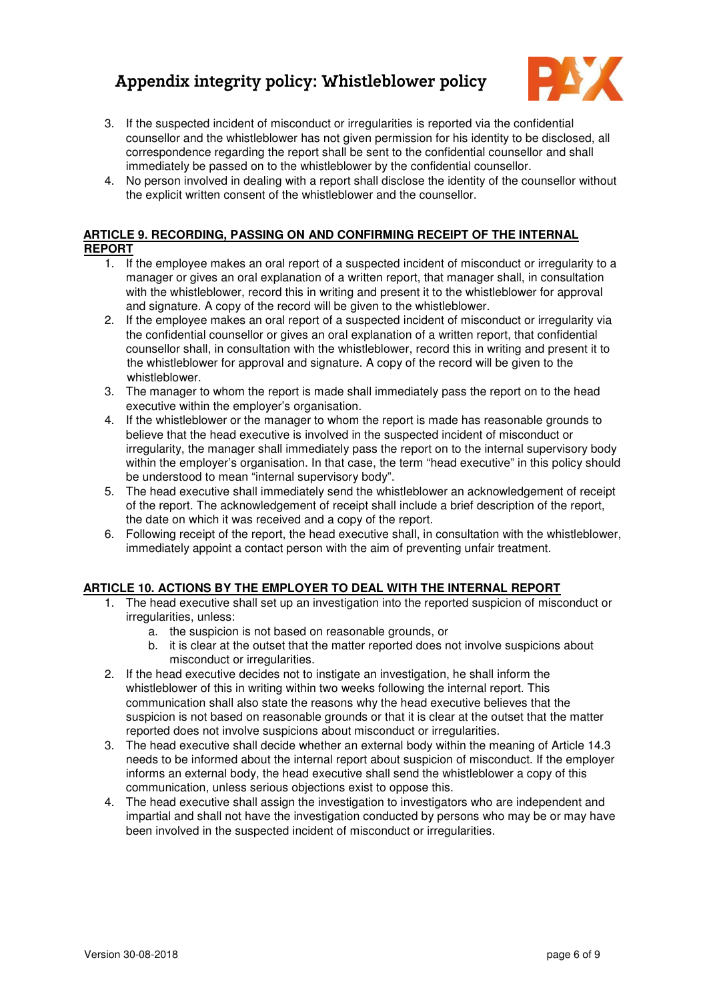

- 3. If the suspected incident of misconduct or irregularities is reported via the confidential counsellor and the whistleblower has not given permission for his identity to be disclosed, all correspondence regarding the report shall be sent to the confidential counsellor and shall immediately be passed on to the whistleblower by the confidential counsellor.
- 4. No person involved in dealing with a report shall disclose the identity of the counsellor without the explicit written consent of the whistleblower and the counsellor.

### **ARTICLE 9. RECORDING, PASSING ON AND CONFIRMING RECEIPT OF THE INTERNAL REPORT**

- 1. If the employee makes an oral report of a suspected incident of misconduct or irregularity to a manager or gives an oral explanation of a written report, that manager shall, in consultation with the whistleblower, record this in writing and present it to the whistleblower for approval and signature. A copy of the record will be given to the whistleblower.
- 2. If the employee makes an oral report of a suspected incident of misconduct or irregularity via the confidential counsellor or gives an oral explanation of a written report, that confidential counsellor shall, in consultation with the whistleblower, record this in writing and present it to the whistleblower for approval and signature. A copy of the record will be given to the whistleblower.
- 3. The manager to whom the report is made shall immediately pass the report on to the head executive within the employer's organisation.
- 4. If the whistleblower or the manager to whom the report is made has reasonable grounds to believe that the head executive is involved in the suspected incident of misconduct or irregularity, the manager shall immediately pass the report on to the internal supervisory body within the employer's organisation. In that case, the term "head executive" in this policy should be understood to mean "internal supervisory body".
- 5. The head executive shall immediately send the whistleblower an acknowledgement of receipt of the report. The acknowledgement of receipt shall include a brief description of the report, the date on which it was received and a copy of the report.
- 6. Following receipt of the report, the head executive shall, in consultation with the whistleblower, immediately appoint a contact person with the aim of preventing unfair treatment.

### **ARTICLE 10. ACTIONS BY THE EMPLOYER TO DEAL WITH THE INTERNAL REPORT**

- 1. The head executive shall set up an investigation into the reported suspicion of misconduct or irregularities, unless:
	- a. the suspicion is not based on reasonable grounds, or
	- b. it is clear at the outset that the matter reported does not involve suspicions about misconduct or irregularities.
- 2. If the head executive decides not to instigate an investigation, he shall inform the whistleblower of this in writing within two weeks following the internal report. This communication shall also state the reasons why the head executive believes that the suspicion is not based on reasonable grounds or that it is clear at the outset that the matter reported does not involve suspicions about misconduct or irregularities.
- 3. The head executive shall decide whether an external body within the meaning of Article 14.3 needs to be informed about the internal report about suspicion of misconduct. If the employer informs an external body, the head executive shall send the whistleblower a copy of this communication, unless serious objections exist to oppose this.
- 4. The head executive shall assign the investigation to investigators who are independent and impartial and shall not have the investigation conducted by persons who may be or may have been involved in the suspected incident of misconduct or irregularities.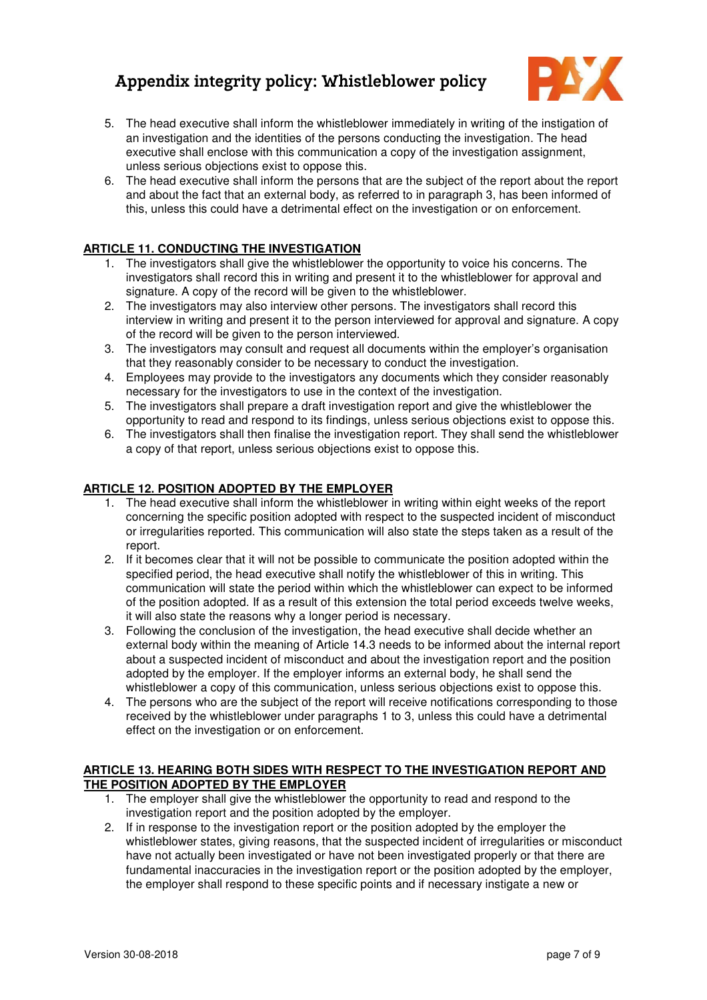

- 5. The head executive shall inform the whistleblower immediately in writing of the instigation of an investigation and the identities of the persons conducting the investigation. The head executive shall enclose with this communication a copy of the investigation assignment, unless serious objections exist to oppose this.
- 6. The head executive shall inform the persons that are the subject of the report about the report and about the fact that an external body, as referred to in paragraph 3, has been informed of this, unless this could have a detrimental effect on the investigation or on enforcement.

#### **ARTICLE 11. CONDUCTING THE INVESTIGATION**

- 1. The investigators shall give the whistleblower the opportunity to voice his concerns. The investigators shall record this in writing and present it to the whistleblower for approval and signature. A copy of the record will be given to the whistleblower.
- 2. The investigators may also interview other persons. The investigators shall record this interview in writing and present it to the person interviewed for approval and signature. A copy of the record will be given to the person interviewed.
- 3. The investigators may consult and request all documents within the employer's organisation that they reasonably consider to be necessary to conduct the investigation.
- 4. Employees may provide to the investigators any documents which they consider reasonably necessary for the investigators to use in the context of the investigation.
- 5. The investigators shall prepare a draft investigation report and give the whistleblower the opportunity to read and respond to its findings, unless serious objections exist to oppose this.
- 6. The investigators shall then finalise the investigation report. They shall send the whistleblower a copy of that report, unless serious objections exist to oppose this.

#### **ARTICLE 12. POSITION ADOPTED BY THE EMPLOYER**

- 1. The head executive shall inform the whistleblower in writing within eight weeks of the report concerning the specific position adopted with respect to the suspected incident of misconduct or irregularities reported. This communication will also state the steps taken as a result of the report.
- 2. If it becomes clear that it will not be possible to communicate the position adopted within the specified period, the head executive shall notify the whistleblower of this in writing. This communication will state the period within which the whistleblower can expect to be informed of the position adopted. If as a result of this extension the total period exceeds twelve weeks, it will also state the reasons why a longer period is necessary.
- 3. Following the conclusion of the investigation, the head executive shall decide whether an external body within the meaning of Article 14.3 needs to be informed about the internal report about a suspected incident of misconduct and about the investigation report and the position adopted by the employer. If the employer informs an external body, he shall send the whistleblower a copy of this communication, unless serious objections exist to oppose this.
- 4. The persons who are the subject of the report will receive notifications corresponding to those received by the whistleblower under paragraphs 1 to 3, unless this could have a detrimental effect on the investigation or on enforcement.

#### **ARTICLE 13. HEARING BOTH SIDES WITH RESPECT TO THE INVESTIGATION REPORT AND THE POSITION ADOPTED BY THE EMPLOYER**

- 1. The employer shall give the whistleblower the opportunity to read and respond to the investigation report and the position adopted by the employer.
- 2. If in response to the investigation report or the position adopted by the employer the whistleblower states, giving reasons, that the suspected incident of irregularities or misconduct have not actually been investigated or have not been investigated properly or that there are fundamental inaccuracies in the investigation report or the position adopted by the employer, the employer shall respond to these specific points and if necessary instigate a new or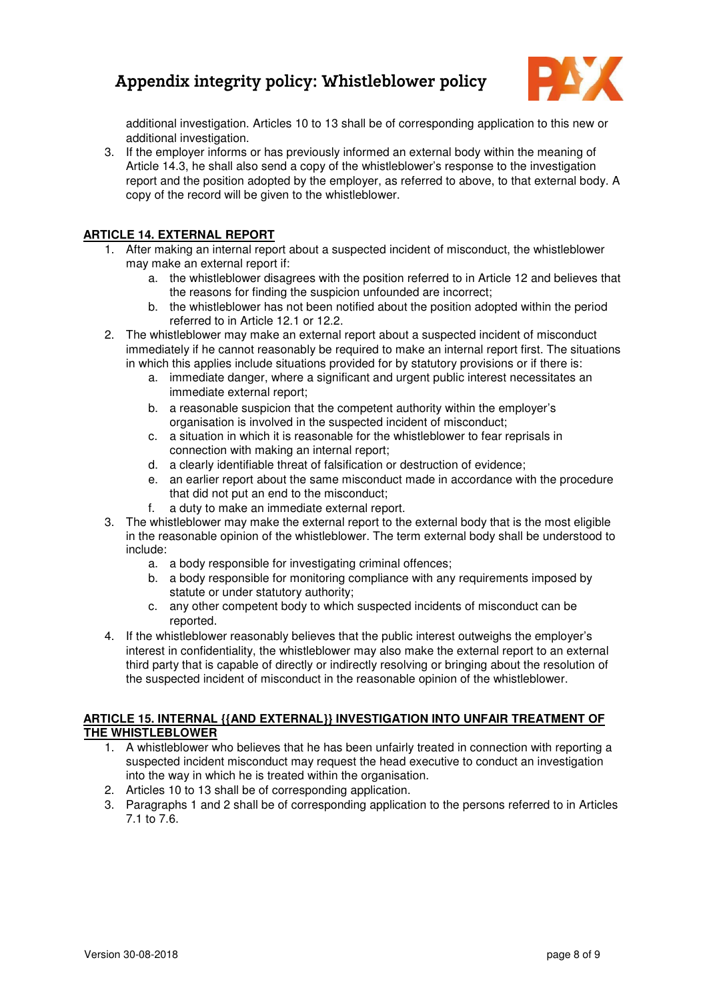

additional investigation. Articles 10 to 13 shall be of corresponding application to this new or additional investigation.

3. If the employer informs or has previously informed an external body within the meaning of Article 14.3, he shall also send a copy of the whistleblower's response to the investigation report and the position adopted by the employer, as referred to above, to that external body. A copy of the record will be given to the whistleblower.

### **ARTICLE 14. EXTERNAL REPORT**

- 1. After making an internal report about a suspected incident of misconduct, the whistleblower may make an external report if:
	- a. the whistleblower disagrees with the position referred to in Article 12 and believes that the reasons for finding the suspicion unfounded are incorrect;
	- b. the whistleblower has not been notified about the position adopted within the period referred to in Article 12.1 or 12.2.
- 2. The whistleblower may make an external report about a suspected incident of misconduct immediately if he cannot reasonably be required to make an internal report first. The situations in which this applies include situations provided for by statutory provisions or if there is:
	- a. immediate danger, where a significant and urgent public interest necessitates an immediate external report;
	- b. a reasonable suspicion that the competent authority within the employer's organisation is involved in the suspected incident of misconduct;
	- c. a situation in which it is reasonable for the whistleblower to fear reprisals in connection with making an internal report;
	- d. a clearly identifiable threat of falsification or destruction of evidence;
	- e. an earlier report about the same misconduct made in accordance with the procedure that did not put an end to the misconduct;
	- f. a duty to make an immediate external report.
- 3. The whistleblower may make the external report to the external body that is the most eligible in the reasonable opinion of the whistleblower. The term external body shall be understood to include:
	- a. a body responsible for investigating criminal offences;
	- b. a body responsible for monitoring compliance with any requirements imposed by statute or under statutory authority;
	- c. any other competent body to which suspected incidents of misconduct can be reported.
- 4. If the whistleblower reasonably believes that the public interest outweighs the employer's interest in confidentiality, the whistleblower may also make the external report to an external third party that is capable of directly or indirectly resolving or bringing about the resolution of the suspected incident of misconduct in the reasonable opinion of the whistleblower.

### **ARTICLE 15. INTERNAL {{AND EXTERNAL}} INVESTIGATION INTO UNFAIR TREATMENT OF THE WHISTLEBLOWER**

- 1. A whistleblower who believes that he has been unfairly treated in connection with reporting a suspected incident misconduct may request the head executive to conduct an investigation into the way in which he is treated within the organisation.
- 2. Articles 10 to 13 shall be of corresponding application.
- 3. Paragraphs 1 and 2 shall be of corresponding application to the persons referred to in Articles 7.1 to 7.6.